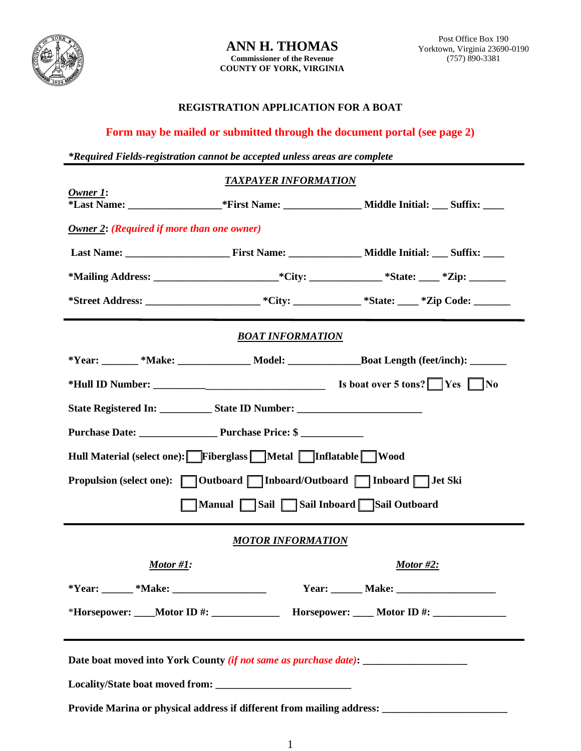

## **REGISTRATION APPLICATION FOR A BOAT**

## **Form may be mailed or submitted through the document portal (see page 2)**

*\*Required Fields-registration cannot be accepted unless areas are complete*

|                                                                                                      | <b>TAXPAYER INFORMATION</b>                                                                          |              |  |  |
|------------------------------------------------------------------------------------------------------|------------------------------------------------------------------------------------------------------|--------------|--|--|
| $Owner 1$ :                                                                                          |                                                                                                      |              |  |  |
| <b>Owner 2: (Required if more than one owner)</b>                                                    |                                                                                                      |              |  |  |
|                                                                                                      |                                                                                                      |              |  |  |
|                                                                                                      |                                                                                                      |              |  |  |
|                                                                                                      |                                                                                                      |              |  |  |
| <b>BOAT INFORMATION</b>                                                                              |                                                                                                      |              |  |  |
|                                                                                                      | *Year: _______ *Make: _______________ Model: ____________________Boat Length (feet/inch): ________   |              |  |  |
|                                                                                                      |                                                                                                      |              |  |  |
| State Registered In: State ID Number:                                                                |                                                                                                      |              |  |  |
| Hull Material (select one): Fiberglass Metal Inflatable Wood                                         |                                                                                                      |              |  |  |
|                                                                                                      |                                                                                                      |              |  |  |
| Manual Sail Sail Inboard Sail Outboard                                                               |                                                                                                      |              |  |  |
| <b>MOTOR INFORMATION</b>                                                                             |                                                                                                      |              |  |  |
| Motor #1:                                                                                            |                                                                                                      | Motor $#2$ : |  |  |
|                                                                                                      |                                                                                                      |              |  |  |
|                                                                                                      | *Horsepower: ____Motor ID #: _________________________Horsepower: _____Motor ID #: _________________ |              |  |  |
| Date boat moved into York County (if not same as purchase date): ________________                    |                                                                                                      |              |  |  |
|                                                                                                      |                                                                                                      |              |  |  |
| Provide Marina or physical address if different from mailing address: ______________________________ |                                                                                                      |              |  |  |